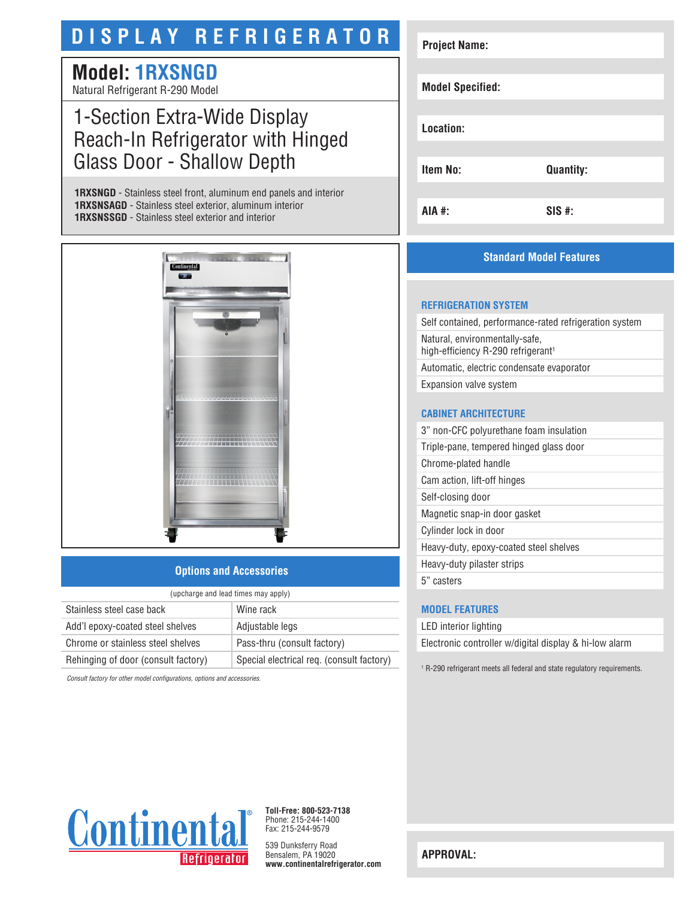# **DISPLAY REFRIGERATOR**

# **Model: 1RXSNGD**

Natural Refrigerant R-290 Model

# 1-Section Extra-Wide Display Reach-In Refrigerator with Hinged Glass Door - Shallow Depth

**1RXSNGD** - Stainless steel front, aluminum end panels and interior **1RXSNSAGD** - Stainless steel exterior, aluminum interior **1RXSNSSGD** - Stainless steel exterior and interior



### **Options and Accessories**

| (upcharge and lead times may apply) |                                           |  |
|-------------------------------------|-------------------------------------------|--|
| Stainless steel case back           | Wine rack                                 |  |
| Add'l epoxy-coated steel shelves    | Adjustable legs                           |  |
| Chrome or stainless steel shelves   | Pass-thru (consult factory)               |  |
| Rehinging of door (consult factory) | Special electrical req. (consult factory) |  |

*Consult factory for other model configurations, options and accessories.*

| <b>Project Name:</b>    |                  |
|-------------------------|------------------|
|                         |                  |
| <b>Model Specified:</b> |                  |
|                         |                  |
| Location:               |                  |
|                         |                  |
| <b>Item No:</b>         | <b>Quantity:</b> |
|                         |                  |
| AIA #:                  | $SIS$ #:         |

## **Standard Model Features**

#### **REFRIGERATION SYSTEM**

Self contained, performance-rated refrigeration system Natural, environmentally-safe, high-efficiency R-290 refrigerant<sup>1</sup> Automatic, electric condensate evaporator Expansion valve system

#### **CABINET ARCHITECTURE**

3" non-CFC polyurethane foam insulation

Triple-pane, tempered hinged glass door

Chrome-plated handle

Cam action, lift-off hinges Self-closing door

Magnetic snap-in door gasket

Cylinder lock in door

Heavy-duty, epoxy-coated steel shelves

Heavy-duty pilaster strips

5" casters

#### **MODEL FEATURES**

LED interior lighting Electronic controller w/digital display & hi-low alarm

1 R-290 refrigerant meets all federal and state regulatory requirements.



**Toll-Free: 800-523-7138** Phone: 215-244-1400 Fax: 215-244-9579

539 Dunksferry Road Bensalem, PA 19020 **www.continentalrefrigerator.com** 

**APPROVAL:**